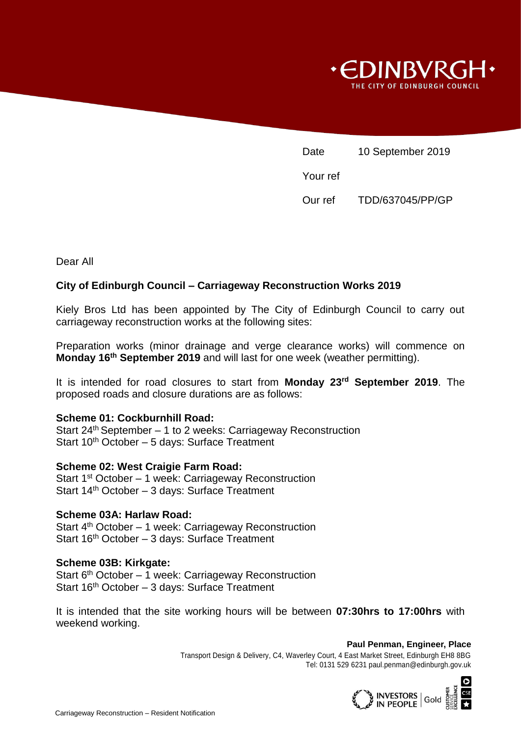

Date 10 September 2019 Your ref Our ref TDD/637045/PP/GP

Dear All

# **City of Edinburgh Council – Carriageway Reconstruction Works 2019**

Kiely Bros Ltd has been appointed by The City of Edinburgh Council to carry out carriageway reconstruction works at the following sites:

Preparation works (minor drainage and verge clearance works) will commence on **Monday 16th September 2019** and will last for one week (weather permitting).

It is intended for road closures to start from **Monday 23rd September 2019**. The proposed roads and closure durations are as follows:

#### **Scheme 01: Cockburnhill Road:**

Start 24<sup>th</sup> September - 1 to 2 weeks: Carriageway Reconstruction Start 10<sup>th</sup> October - 5 days: Surface Treatment

### **Scheme 02: West Craigie Farm Road:**

Start 1<sup>st</sup> October - 1 week: Carriageway Reconstruction Start 14th October – 3 days: Surface Treatment

### **Scheme 03A: Harlaw Road:**

Start 4<sup>th</sup> October - 1 week: Carriageway Reconstruction Start 16th October – 3 days: Surface Treatment

#### **Scheme 03B: Kirkgate:**

Start 6<sup>th</sup> October - 1 week: Carriageway Reconstruction Start 16<sup>th</sup> October - 3 days: Surface Treatment

It is intended that the site working hours will be between **07:30hrs to 17:00hrs** with weekend working.

> **Paul Penman, Engineer, Place** Transport Design & Delivery, C4, Waverley Court, 4 East Market Street, Edinburgh EH8 8BG Tel: 0131 529 6231 paul.penman@edinburgh.gov.uk

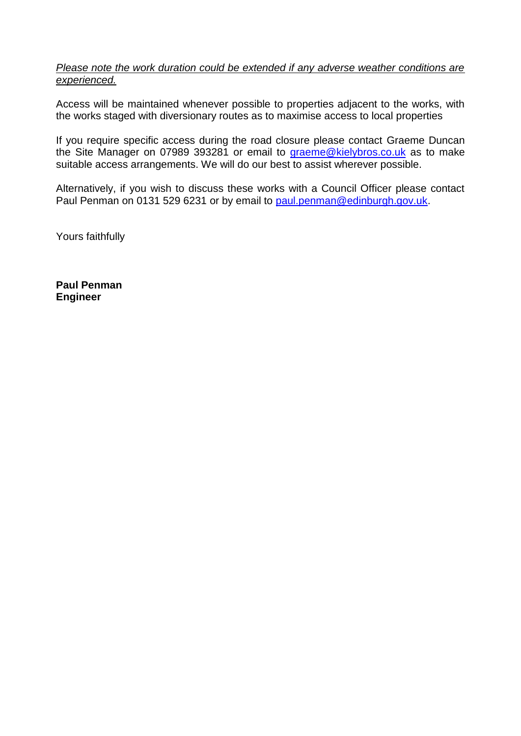## *Please note the work duration could be extended if any adverse weather conditions are experienced.*

Access will be maintained whenever possible to properties adjacent to the works, with the works staged with diversionary routes as to maximise access to local properties

If you require specific access during the road closure please contact Graeme Duncan the Site Manager on 07989 393281 or email to [graeme@kielybros.co.uk](mailto:graeme@kielybros.co.uk) as to make suitable access arrangements. We will do our best to assist wherever possible.

Alternatively, if you wish to discuss these works with a Council Officer please contact Paul Penman on 0131 529 6231 or by email to [paul.penman@edinburgh.gov.uk.](mailto:paul.penman@edinburgh.gov.uk)

Yours faithfully

**Paul Penman Engineer**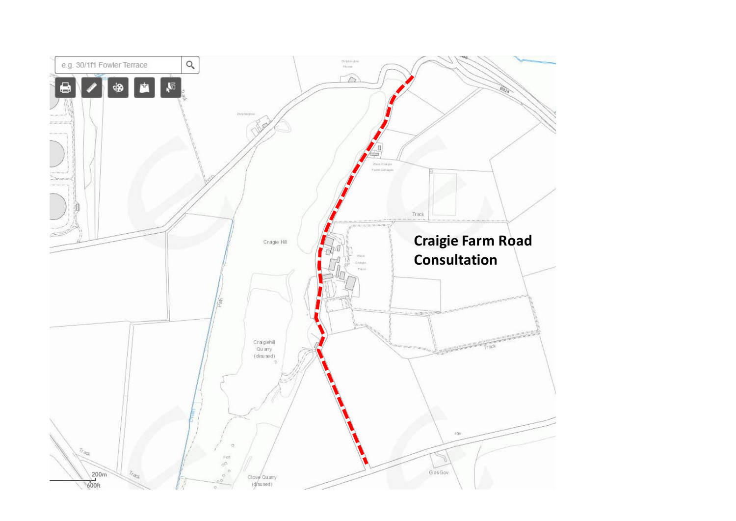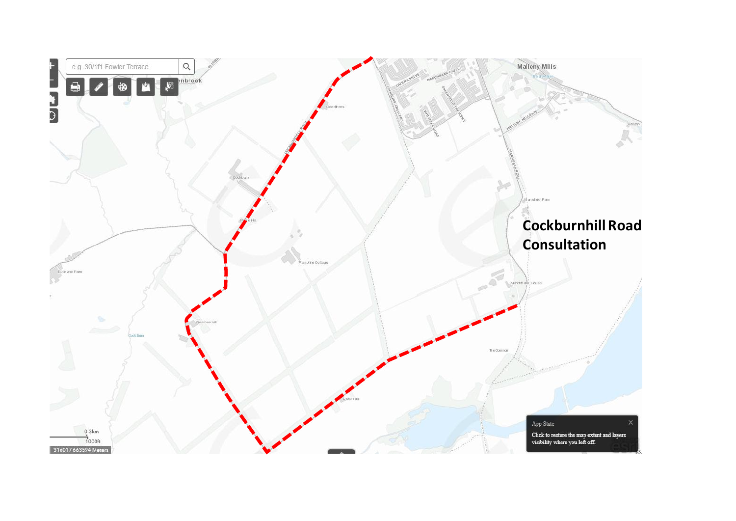